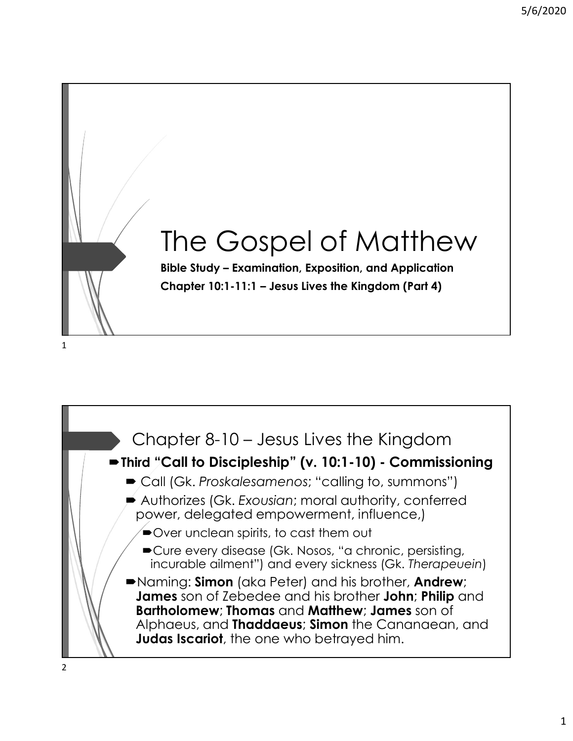

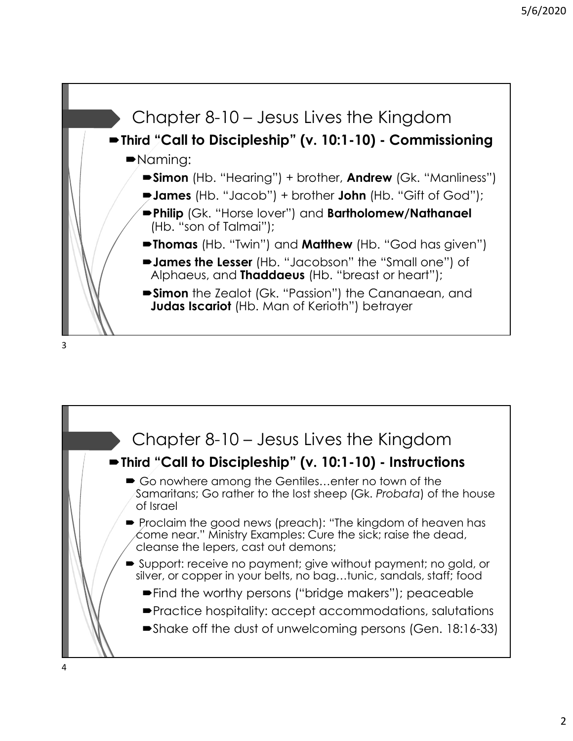

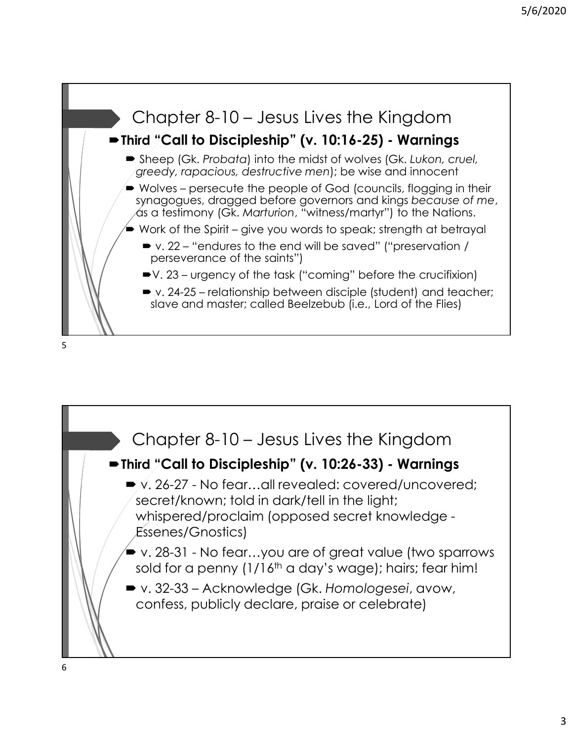